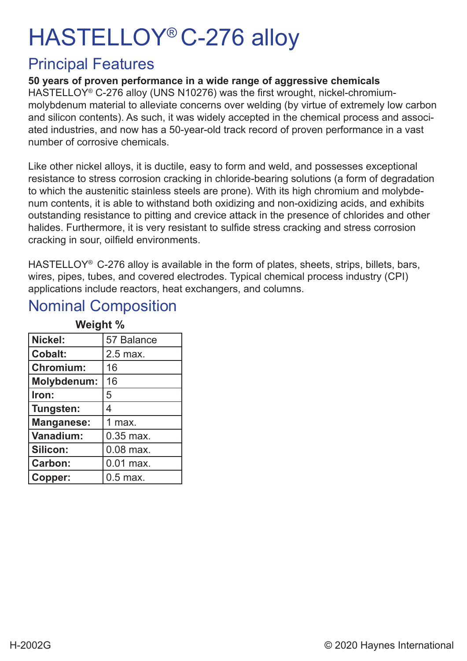# HASTELLOY® C-276 alloy

#### Principal Features

#### **50 years of proven performance in a wide range of aggressive chemicals**

HASTELLOY® C-276 alloy (UNS N10276) was the first wrought, nickel-chromiummolybdenum material to alleviate concerns over welding (by virtue of extremely low carbon and silicon contents). As such, it was widely accepted in the chemical process and associated industries, and now has a 50-year-old track record of proven performance in a vast number of corrosive chemicals.

Like other nickel alloys, it is ductile, easy to form and weld, and possesses exceptional resistance to stress corrosion cracking in chloride-bearing solutions (a form of degradation to which the austenitic stainless steels are prone). With its high chromium and molybdenum contents, it is able to withstand both oxidizing and non-oxidizing acids, and exhibits outstanding resistance to pitting and crevice attack in the presence of chlorides and other halides. Furthermore, it is very resistant to sulfide stress cracking and stress corrosion cracking in sour, oilfield environments.

HASTELLOY<sup>®</sup> C-276 alloy is available in the form of plates, sheets, strips, billets, bars, wires, pipes, tubes, and covered electrodes. Typical chemical process industry (CPI) applications include reactors, heat exchangers, and columns.

#### **Weight % Nickel:** 57 Balance **Cobalt:** 2.5 max. **Chromium:** 16 **Molybdenum:** 16 **Iron:** 5 **Tungsten:** 4 **Manganese:** 1 max. **Vanadium:**  $\begin{bmatrix} 0.35 \text{ max} \end{bmatrix}$ **Silicon:**  $\begin{bmatrix} 0.08 \text{ max.} \end{bmatrix}$ **Carbon: 0.01 max. Copper:** | 0.5 max.

#### Nominal Composition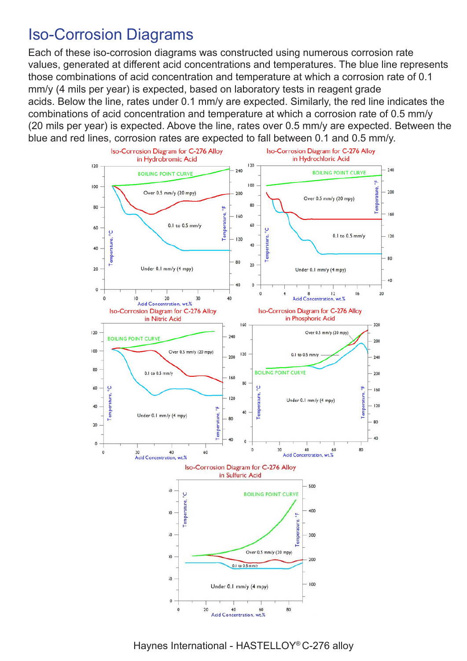#### Iso-Corrosion Diagrams

Each of these iso-corrosion diagrams was constructed using numerous corrosion rate values, generated at different acid concentrations and temperatures. The blue line represents those combinations of acid concentration and temperature at which a corrosion rate of 0.1 mm/y (4 mils per year) is expected, based on laboratory tests in reagent grade acids. Below the line, rates under 0.1 mm/y are expected. Similarly, the red line indicates the combinations of acid concentration and temperature at which a corrosion rate of 0.5 mm/y (20 mils per year) is expected. Above the line, rates over 0.5 mm/y are expected. Between the blue and red lines, corrosion rates are expected to fall between 0.1 and 0.5 mm/y.



Haynes International - HASTELLOY® C-276 alloy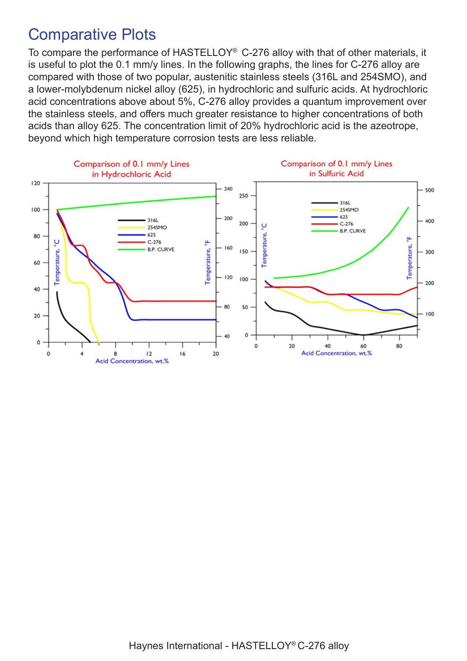#### Comparative Plots

To compare the performance of HASTELLOY® C-276 alloy with that of other materials, it is useful to plot the 0.1 mm/y lines. In the following graphs, the lines for C-276 alloy are compared with those of two popular, austenitic stainless steels (316L and 254SMO), and a lower-molybdenum nickel alloy (625), in hydrochloric and sulfuric acids. At hydrochloric acid concentrations above about 5%, C-276 alloy provides a quantum improvement over the stainless steels, and offers much greater resistance to higher concentrations of both acids than alloy 625. The concentration limit of 20% hydrochloric acid is the azeotrope, beyond which high temperature corrosion tests are less reliable.

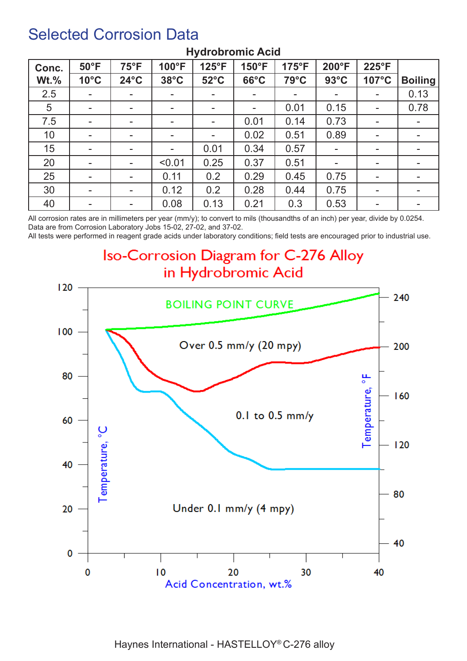#### Selected Corrosion Data

| Conc.   | $50^{\circ}$ F | $75^{\circ}F$            | 100°F                    | 125°F                    | 150°F                    | 175°F                    | 200°F          | 225°F                    |                |
|---------|----------------|--------------------------|--------------------------|--------------------------|--------------------------|--------------------------|----------------|--------------------------|----------------|
| $Wt.\%$ | $10^{\circ}$ C | $24^{\circ}$ C           | $38^{\circ}$ C           | $52^{\circ}$ C           | $66^{\circ}$ C           | 79°C                     | $93^{\circ}$ C | 107°C                    | <b>Boiling</b> |
| 2.5     | $\sim$         | $\overline{\phantom{a}}$ | $\sim$                   | $\overline{\phantom{a}}$ | $\overline{\phantom{a}}$ | $\overline{\phantom{a}}$ | ۰.             | $\sim$                   | 0.13           |
| 5       | $\blacksquare$ |                          |                          |                          | $\overline{\phantom{a}}$ | 0.01                     | 0.15           | $\blacksquare$           | 0.78           |
| 7.5     | ۰.             | ۰                        | $\overline{\phantom{a}}$ |                          | 0.01                     | 0.14                     | 0.73           | ۰                        |                |
| 10      | ۰.             | н.                       | $\overline{\phantom{a}}$ |                          | 0.02                     | 0.51                     | 0.89           | $\overline{\phantom{a}}$ |                |
| 15      | $\sim$         | $\overline{\phantom{a}}$ | $\blacksquare$           | 0.01                     | 0.34                     | 0.57                     | ۰              | $\blacksquare$           |                |
| 20      | ۰.             | $\overline{\phantom{a}}$ | < 0.01                   | 0.25                     | 0.37                     | 0.51                     |                | ۰                        |                |
| 25      |                | $\blacksquare$           | 0.11                     | 0.2                      | 0.29                     | 0.45                     | 0.75           | ۰                        |                |
| 30      | ۰.             | ۰.                       | 0.12                     | 0.2                      | 0.28                     | 0.44                     | 0.75           | ۰                        | -              |
| 40      | ۰              | $\overline{\phantom{a}}$ | 0.08                     | 0.13                     | 0.21                     | 0.3                      | 0.53           | -                        | ۰              |

#### **Hydrobromic Acid**

All corrosion rates are in millimeters per year (mm/y); to convert to mils (thousandths of an inch) per year, divide by 0.0254. Data are from Corrosion Laboratory Jobs 15-02, 27-02, and 37-02.

All tests were performed in reagent grade acids under laboratory conditions; field tests are encouraged prior to industrial use.

Iso-Corrosion Diagram for C-276 Alloy in Hydrobromic Acid

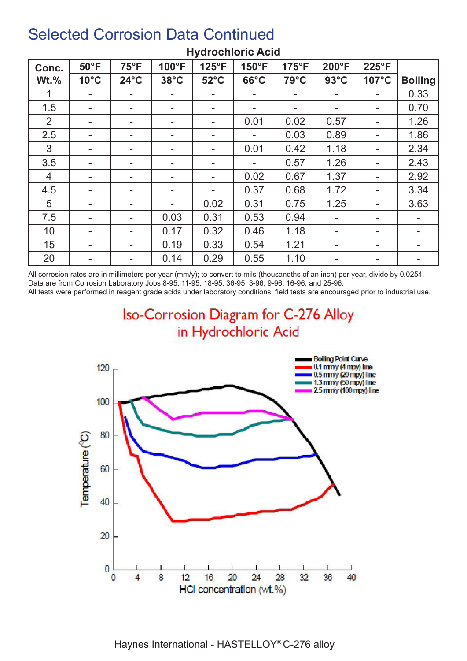| Conc.   | $50^{\circ}$ F           | $75^{\circ}F$            | 100°F          | $125^{\circ}F$ | 150°F          | $175^{\circ}F$ | 200°F          | 225°F |                |
|---------|--------------------------|--------------------------|----------------|----------------|----------------|----------------|----------------|-------|----------------|
| $Wt.\%$ | $10^{\circ}$ C           | $24^{\circ}$ C           | $38^{\circ}$ C | $52^{\circ}$ C | $66^{\circ}$ C | $79^{\circ}$ C | $93^{\circ}$ C | 107°C | <b>Boiling</b> |
|         |                          |                          | ۰.             |                |                | $\blacksquare$ |                |       | 0.33           |
| 1.5     |                          |                          |                |                |                | $\blacksquare$ |                |       | 0.70           |
| 2       |                          |                          |                |                | 0.01           | 0.02           | 0.57           |       | 1.26           |
| 2.5     |                          |                          |                |                |                | 0.03           | 0.89           |       | 1.86           |
| 3       | $\blacksquare$           | $\overline{\phantom{a}}$ |                |                | 0.01           | 0.42           | 1.18           |       | 2.34           |
| 3.5     |                          | $\overline{\phantom{a}}$ | ۰.             |                |                | 0.57           | 1.26           | ۰.    | 2.43           |
| 4       | $\overline{\phantom{0}}$ | н.                       | ۰.             |                | 0.02           | 0.67           | 1.37           | ۰.    | 2.92           |
| 4.5     |                          | $\overline{\phantom{a}}$ | ۰              |                | 0.37           | 0.68           | 1.72           |       | 3.34           |
| 5       | $\blacksquare$           | $\overline{\phantom{a}}$ | ۰.             | 0.02           | 0.31           | 0.75           | 1.25           | ۰     | 3.63           |
| 7.5     |                          |                          | 0.03           | 0.31           | 0.53           | 0.94           |                | ۰.    |                |
| 10      | $\blacksquare$           |                          | 0.17           | 0.32           | 0.46           | 1.18           |                | ۰     |                |
| 15      |                          |                          | 0.19           | 0.33           | 0.54           | 1.21           |                |       |                |
| 20      |                          |                          | 0.14           | 0.29           | 0.55           | 1.10           |                |       |                |

#### **Hydrochloric Acid**

All corrosion rates are in millimeters per year (mm/y); to convert to mils (thousandths of an inch) per year, divide by 0.0254. Data are from Corrosion Laboratory Jobs 8-95, 11-95, 18-95, 36-95, 3-96, 9-96, 16-96, and 25-96.

All tests were performed in reagent grade acids under laboratory conditions; field tests are encouraged prior to industrial use.

Iso-Corrosion Diagram for C-276 Alloy in Hydrochloric Acid



Haynes International - HASTELLOY® C-276 alloy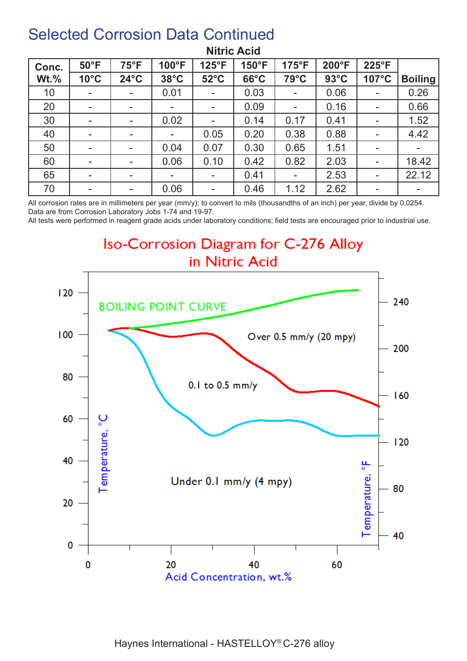| Conc.   | $50^{\circ}$ F | $75^{\circ}F$            | 100°F                    | 125°F          | 150°F          | $175^{\circ}F$           | 200°F          | 225°F                    |                |
|---------|----------------|--------------------------|--------------------------|----------------|----------------|--------------------------|----------------|--------------------------|----------------|
| $Wt.\%$ | $10^{\circ}$ C | $24^{\circ}$ C           | $38^{\circ}$ C           | $52^{\circ}$ C | $66^{\circ}$ C | $79^{\circ}$ C           | $93^{\circ}$ C | 107°C                    | <b>Boiling</b> |
| 10      | ۰              | $\overline{\phantom{a}}$ | 0.01                     | $\blacksquare$ | 0.03           | $\overline{\phantom{a}}$ | 0.06           | ۰                        | 0.26           |
| 20      | $\blacksquare$ | $\,$                     | $\overline{\phantom{a}}$ |                | 0.09           | $\blacksquare$           | 0.16           | $\sim$                   | 0.66           |
| 30      | $\sim$         | $\sim$                   | 0.02                     |                | 0.14           | 0.17                     | 0.41           | $\blacksquare$           | 1.52           |
| 40      | ۰.             | $\overline{\phantom{a}}$ | $\overline{\phantom{a}}$ | 0.05           | 0.20           | 0.38                     | 0.88           | $\blacksquare$           | 4.42           |
| 50      | ۰              |                          | 0.04                     | 0.07           | 0.30           | 0.65                     | 1.51           | ۰                        |                |
| 60      | $\blacksquare$ | $\blacksquare$           | 0.06                     | 0.10           | 0.42           | 0.82                     | 2.03           | $\overline{\phantom{a}}$ | 18.42          |
| 65      | ۰.             | $\overline{\phantom{a}}$ |                          |                | 0.41           | $\sim$                   | 2.53           | ۰                        | 22.12          |
| 70      | ٠              | $\overline{\phantom{a}}$ | 0.06                     | $\blacksquare$ | 0.46           | 1.12                     | 2.62           | $\overline{\phantom{a}}$ | -              |

#### **Nitric Acid**

All corrosion rates are in millimeters per year (mm/y); to convert to mils (thousandths of an inch) per year, divide by 0.0254. Data are from Corrosion Laboratory Jobs 1-74 and 19-97.

All tests were performed in reagent grade acids under laboratory conditions; field tests are encouraged prior to industrial use.

#### Iso-Corrosion Diagram for C-276 Alloy in Nitric Acid

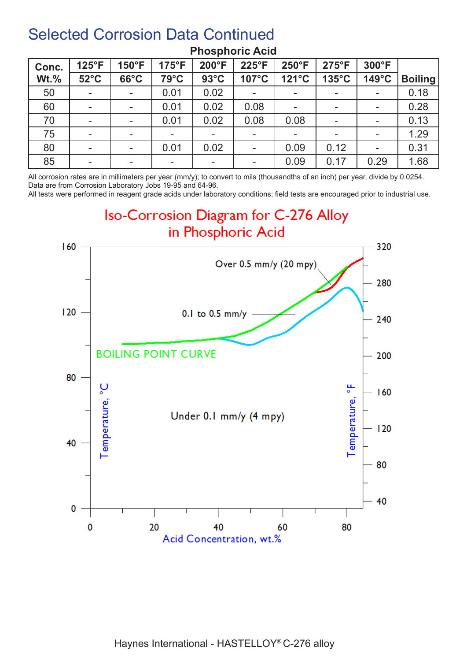| Conc.   | 125°F          | 150°F                    | $175^{\circ}F$           | 200°F          | 225°F                    | 250°F                    | $275^{\circ}F$  | 300°F                    |                |
|---------|----------------|--------------------------|--------------------------|----------------|--------------------------|--------------------------|-----------------|--------------------------|----------------|
| $Wt.\%$ | $52^{\circ}$ C | $66^{\circ}$ C           | $79^{\circ}$ C           | $93^{\circ}$ C | 107°C                    | 121°C                    | $135^{\circ}$ C | 149°C                    | <b>Boiling</b> |
| 50      | $\blacksquare$ |                          | 0.01                     | 0.02           |                          | $\blacksquare$           |                 | $\overline{\phantom{a}}$ | 0.18           |
| 60      | $\blacksquare$ | $\overline{\phantom{a}}$ | 0.01                     | 0.02           | 0.08                     | $\blacksquare$           |                 | -                        | 0.28           |
| 70      | $\blacksquare$ | $\sim$                   | 0.01                     | 0.02           | 0.08                     | 0.08                     |                 | $\blacksquare$           | 0.13           |
| 75      | $\blacksquare$ | $\overline{\phantom{a}}$ | $\overline{\phantom{a}}$ | $\blacksquare$ | $\overline{\phantom{a}}$ | $\overline{\phantom{a}}$ |                 | $\overline{\phantom{a}}$ | 1.29           |
| 80      | $\blacksquare$ | $\sim$                   | 0.01                     | 0.02           | $\overline{\phantom{a}}$ | 0.09                     | 0.12            | ۰                        | 0.31           |
| 85      | $\blacksquare$ | $\sim$                   |                          |                |                          | 0.09                     | 0.17            | 0.29                     | 1.68           |

#### **Phosphoric Acid**

All corrosion rates are in millimeters per year (mm/y); to convert to mils (thousandths of an inch) per year, divide by 0.0254. Data are from Corrosion Laboratory Jobs 19-95 and 64-96.

All tests were performed in reagent grade acids under laboratory conditions; field tests are encouraged prior to industrial use.

#### Iso-Corrosion Diagram for C-276 Alloy in Phosphoric Acid

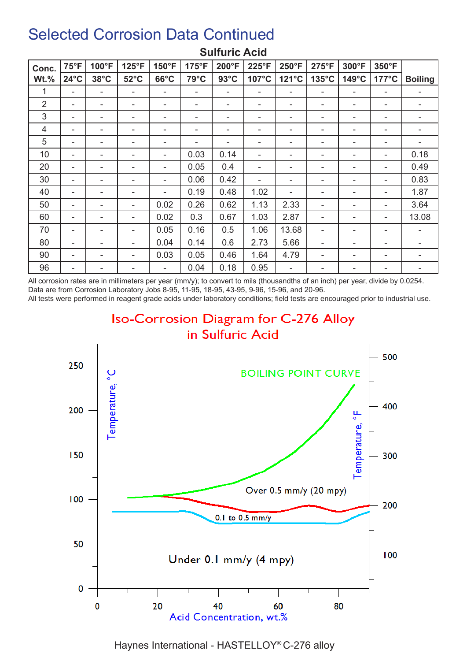| Conc.          | $75^{\circ}F$  | 100°F          | 125°F          | 150°F          | 175°F | 200°F          | 225°F | $250^{\circ}F$ | 275°F           | 300°F                    | 350°F           |                |
|----------------|----------------|----------------|----------------|----------------|-------|----------------|-------|----------------|-----------------|--------------------------|-----------------|----------------|
| $Wt.\%$        | $24^{\circ}$ C | $38^{\circ}$ C | $52^{\circ}$ C | $66^{\circ}$ C | 79°C  | $93^{\circ}$ C | 107°C | 121°C          | $135^{\circ}$ C | 149°C                    | $177^{\circ}$ C | <b>Boiling</b> |
| 1              | ۰              | ۰              | ۰              | ۰              | ٠     | ۰              | ۰     |                | ۰               | $\overline{\phantom{a}}$ | ۰               | ۰              |
| $\overline{2}$ | ۰              | ۰              | ۰              | ۰              | ٠     | ۰              | ۰     |                | ۰               | ۰                        | ۰               | ۰              |
| 3              | ۰              | ۰              | ۰              | ۰              | ۰     | ۰              | ۰     |                | ۰               | ۰                        | ۰               | ۰              |
| 4              | ۰              | -              | -              | ۰              |       | ۰              | ۰     |                | ۰               | -                        | -               | -              |
| 5              | ۰              |                |                |                |       | ۰              | ۰     |                |                 |                          |                 |                |
| 10             | ۰              | ۰              | ۰              | ۰              | 0.03  | 0.14           | ۰     |                | ۰               | -                        | ۰               | 0.18           |
| 20             | ۰              | -              | ۰              | ۰              | 0.05  | 0.4            |       |                | ۰               | -                        | -               | 0.49           |
| 30             | ۰              | ۰              |                | ۰              | 0.06  | 0.42           |       |                | ۰               |                          | ۰               | 0.83           |
| 40             | ۰              | ۰              | ۰              | ۰              | 0.19  | 0.48           | 1.02  |                | ۰               | ۰                        | ۰               | 1.87           |
| 50             | ۰              | ۰              | ۰              | 0.02           | 0.26  | 0.62           | 1.13  | 2.33           | ۰               | ۰                        | ۰               | 3.64           |
| 60             | ۰              | -              | ۰              | 0.02           | 0.3   | 0.67           | 1.03  | 2.87           | ۰               | -                        | ۰               | 13.08          |
| 70             | ۰              | ۰              | ۰              | 0.05           | 0.16  | 0.5            | 1.06  | 13.68          | ۰               | ۰                        |                 | ۰              |
| 80             | ۰              | $\blacksquare$ | ۰              | 0.04           | 0.14  | 0.6            | 2.73  | 5.66           | ۰               | -                        | -               |                |
| 90             | ۰              | ۰              | ۰              | 0.03           | 0.05  | 0.46           | 1.64  | 4.79           | ۰               | ۰                        | ۰               | ۰              |
| 96             | ۰              | -              |                |                | 0.04  | 0.18           | 0.95  |                | ۰               |                          | ۰               |                |

#### **Sulfuric Acid**

All corrosion rates are in millimeters per year (mm/y); to convert to mils (thousandths of an inch) per year, divide by 0.0254. Data are from Corrosion Laboratory Jobs 8-95, 11-95, 18-95, 43-95, 9-96, 15-96, and 20-96.

All tests were performed in reagent grade acids under laboratory conditions; field tests are encouraged prior to industrial use.





Haynes International - HASTELLOY® C-276 alloy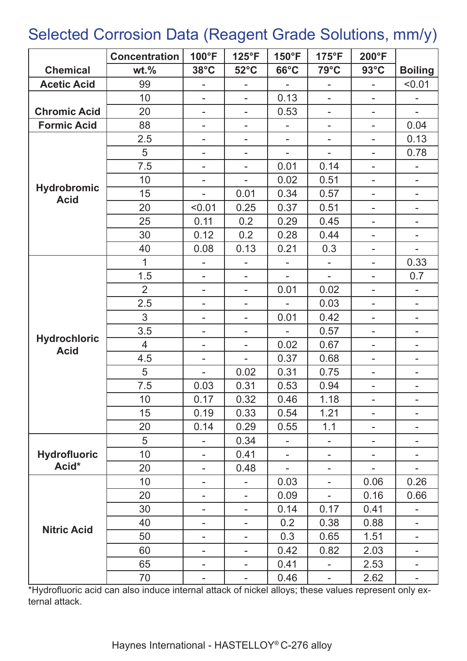### Selected Corrosion Data (Reagent Grade Solutions, mm/y)

|                                    | <b>Concentration</b> | 100°F                    | $125^{\circ}F$           | 150°F          | $175^{\circ}F$           | 200°F                    |                          |
|------------------------------------|----------------------|--------------------------|--------------------------|----------------|--------------------------|--------------------------|--------------------------|
| <b>Chemical</b>                    | $wt.$ %              | $38^{\circ}$ C           | $52^{\circ}$ C           | $66^{\circ}$ C | $79^{\circ}$ C           | $93^{\circ}$ C           | <b>Boiling</b>           |
| <b>Acetic Acid</b>                 | 99                   |                          |                          |                |                          |                          | < 0.01                   |
|                                    | 10                   | Ξ.                       |                          | 0.13           |                          |                          |                          |
| <b>Chromic Acid</b>                | 20                   | ۰                        | -                        | 0.53           | $\overline{\phantom{0}}$ | $\overline{a}$           |                          |
| <b>Formic Acid</b>                 | 88                   |                          |                          | L,             | $\overline{a}$           | L.                       | 0.04                     |
|                                    | 2.5                  | -                        | $\overline{a}$           | ÷,             | ÷,                       | ÷,                       | 0.13                     |
|                                    | 5                    | -                        | $\overline{a}$           | ÷,             | ÷                        | ÷,                       | 0.78                     |
|                                    | 7.5                  | $\overline{\phantom{0}}$ | $\overline{\phantom{0}}$ | 0.01           | 0.14                     | $\overline{a}$           | $\overline{\phantom{0}}$ |
|                                    | 10                   | ۰                        | Ξ.                       | 0.02           | 0.51                     | $\overline{\phantom{0}}$ | $\overline{\phantom{a}}$ |
| <b>Hydrobromic</b><br><b>Acid</b>  | 15                   | $\overline{\phantom{0}}$ | 0.01                     | 0.34           | 0.57                     | -                        | $\bar{ }$                |
|                                    | 20                   | < 0.01                   | 0.25                     | 0.37           | 0.51                     | -                        | $\overline{\phantom{0}}$ |
|                                    | 25                   | 0.11                     | 0.2                      | 0.29           | 0.45                     | ۰                        |                          |
|                                    | 30                   | 0.12                     | 0.2                      | 0.28           | 0.44                     | -                        |                          |
|                                    | 40                   | 0.08                     | 0.13                     | 0.21           | 0.3                      | $\overline{\phantom{0}}$ |                          |
|                                    | $\mathbf{1}$         | $\overline{\phantom{0}}$ |                          |                |                          | ÷,                       | 0.33                     |
|                                    | 1.5                  | $\overline{\phantom{0}}$ |                          |                | ÷.                       | L.                       | 0.7                      |
|                                    | $\overline{2}$       | $\overline{\phantom{0}}$ | ÷,                       | 0.01           | 0.02                     | ÷,                       | ÷,                       |
|                                    | 2.5                  | -                        | -                        |                | 0.03                     | $\overline{\phantom{0}}$ | $\overline{\phantom{0}}$ |
|                                    | 3                    | $\overline{a}$           | $\overline{a}$           | 0.01           | 0.42                     | ÷,                       | $\overline{\phantom{0}}$ |
|                                    | 3.5                  | $\overline{\phantom{0}}$ | $\overline{\phantom{a}}$ |                | 0.57                     | $\overline{\phantom{0}}$ | $\overline{\phantom{0}}$ |
| <b>Hydrochloric</b><br><b>Acid</b> | $\overline{4}$       | ۰                        | $\overline{\phantom{0}}$ | 0.02           | 0.67                     | -                        | $\overline{\phantom{0}}$ |
|                                    | 4.5                  | ۰                        | $\overline{\phantom{a}}$ | 0.37           | 0.68                     | -                        | $\overline{a}$           |
|                                    | 5                    |                          | 0.02                     | 0.31           | 0.75                     | ۰                        | $\overline{\phantom{0}}$ |
|                                    | 7.5                  | 0.03                     | 0.31                     | 0.53           | 0.94                     |                          |                          |
|                                    | 10                   | 0.17                     | 0.32                     | 0.46           | 1.18                     |                          |                          |
|                                    | 15                   | 0.19                     | 0.33                     | 0.54           | 1.21                     |                          |                          |
|                                    | 20                   | 0.14                     | 0.29                     | 0.55           | 1.1                      |                          |                          |
|                                    | 5                    | $\overline{a}$           | 0.34                     | $\overline{a}$ | $\blacksquare$           | -                        | ۰                        |
| <b>Hydrofluoric</b>                | 10                   | $\overline{\phantom{0}}$ | 0.41                     |                |                          |                          |                          |
| Acid*                              | 20                   | Ξ.                       | 0.48                     | ÷,             | $\overline{a}$           | $\overline{a}$           | $\overline{a}$           |
|                                    | 10                   | ٠                        | Ξ.                       | 0.03           | $\overline{\phantom{0}}$ | 0.06                     | 0.26                     |
|                                    | 20                   | ۰                        | ۰                        | 0.09           | $\overline{\phantom{a}}$ | 0.16                     | 0.66                     |
|                                    | 30                   | ۰                        | $\overline{\phantom{0}}$ | 0.14           | 0.17                     | 0.41                     |                          |
| <b>Nitric Acid</b>                 | 40                   | ۰                        | ۰                        | 0.2            | 0.38                     | 0.88                     | ۰                        |
|                                    | 50                   | ۰                        |                          | 0.3            | 0.65                     | 1.51                     |                          |
|                                    | 60                   | ۰                        |                          | 0.42           | 0.82                     | 2.03                     |                          |
|                                    | 65                   | ۰                        |                          | 0.41           |                          | 2.53                     |                          |
|                                    | 70                   | ۰                        | ۰                        | 0.46           | $\blacksquare$           | 2.62                     | ۰                        |

\*Hydrofluoric acid can also induce internal attack of nickel alloys; these values represent only external attack.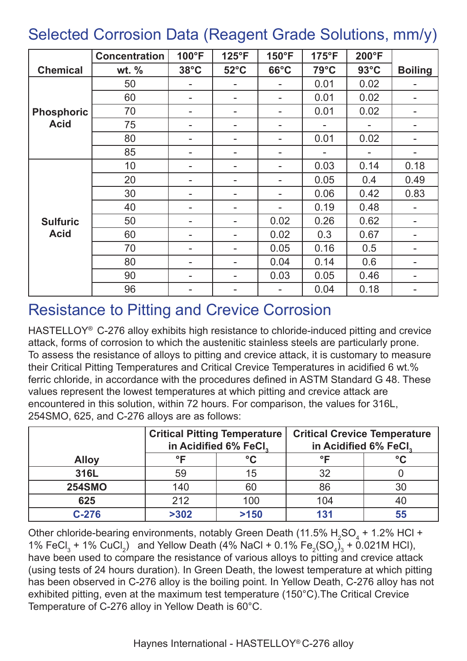### Selected Corrosion Data (Reagent Grade Solutions, mm/y)

|                   | <b>Concentration</b> | 100°F          | $125^{\circ}F$ | 150°F          | 175°F          | 200°F          |                          |
|-------------------|----------------------|----------------|----------------|----------------|----------------|----------------|--------------------------|
| <b>Chemical</b>   | wt. $%$              | $38^{\circ}$ C | $52^{\circ}$ C | $66^{\circ}$ C | $79^{\circ}$ C | $93^{\circ}$ C | <b>Boiling</b>           |
|                   | 50                   |                |                |                | 0.01           | 0.02           |                          |
|                   | 60                   | $\blacksquare$ |                | ۰              | 0.01           | 0.02           | $\blacksquare$           |
| <b>Phosphoric</b> | 70                   |                |                |                | 0.01           | 0.02           | ۰                        |
| <b>Acid</b>       | 75                   | -              |                |                |                |                | Ξ.                       |
|                   | 80                   |                |                |                | 0.01           | 0.02           |                          |
|                   | 85                   | $\blacksquare$ |                |                |                |                | Ξ.                       |
|                   | 10                   |                |                |                | 0.03           | 0.14           | 0.18                     |
|                   | 20                   |                |                |                | 0.05           | 0.4            | 0.49                     |
|                   | 30                   |                |                |                | 0.06           | 0.42           | 0.83                     |
|                   | 40                   |                |                |                | 0.19           | 0.48           |                          |
| <b>Sulfuric</b>   | 50                   | -              |                | 0.02           | 0.26           | 0.62           | ۰                        |
| <b>Acid</b>       | 60                   |                |                | 0.02           | 0.3            | 0.67           |                          |
|                   | 70                   | $\blacksquare$ |                | 0.05           | 0.16           | 0.5            | ۰.                       |
|                   | 80                   | $\blacksquare$ |                | 0.04           | 0.14           | 0.6            | ۰                        |
|                   | 90                   | Ξ.             |                | 0.03           | 0.05           | 0.46           | $\overline{\phantom{a}}$ |
|                   | 96                   | -              |                |                | 0.04           | 0.18           | -                        |

#### Resistance to Pitting and Crevice Corrosion

HASTELLOY® C-276 alloy exhibits high resistance to chloride-induced pitting and crevice attack, forms of corrosion to which the austenitic stainless steels are particularly prone. To assess the resistance of alloys to pitting and crevice attack, it is customary to measure their Critical Pitting Temperatures and Critical Crevice Temperatures in acidified 6 wt.% ferric chloride, in accordance with the procedures defined in ASTM Standard G 48. These values represent the lowest temperatures at which pitting and crevice attack are encountered in this solution, within 72 hours. For comparison, the values for 316L, 254SMO, 625, and C-276 alloys are as follows:

|               | <b>Critical Pitting Temperature</b> | in Acidified 6% FeCl, | <b>Critical Crevice Temperature</b><br>in Acidified 6% FeCl. |              |  |  |
|---------------|-------------------------------------|-----------------------|--------------------------------------------------------------|--------------|--|--|
| <b>Alloy</b>  | ᅂ                                   | $\rm ^{\circ}C$       | ∘⊏                                                           | $^{\circ}$ C |  |  |
| 316L          | 59                                  | 15                    | 32                                                           |              |  |  |
| <b>254SMO</b> | 140                                 | 60                    | 86                                                           | 30           |  |  |
| 625           | 212                                 | 100                   | 104                                                          | 40           |  |  |
| $C-276$       | >302                                | >150                  | 131                                                          | 55           |  |  |

Other chloride-bearing environments, notably Green Death (11.5%  $\rm H_2SO_4$  + 1.2% HCl + 1% FeCl<sub>3</sub> + 1% CuCl<sub>2</sub>) and Yellow Death (4% NaCl + 0.1% Fe<sub>2</sub>(SO<sub>4</sub>)<sub>3</sub> + 0.021M HCl), have been used to compare the resistance of various alloys to pitting and crevice attack (using tests of 24 hours duration). In Green Death, the lowest temperature at which pitting has been observed in C-276 alloy is the boiling point. In Yellow Death, C-276 alloy has not exhibited pitting, even at the maximum test temperature (150°C).The Critical Crevice Temperature of C-276 alloy in Yellow Death is 60°C.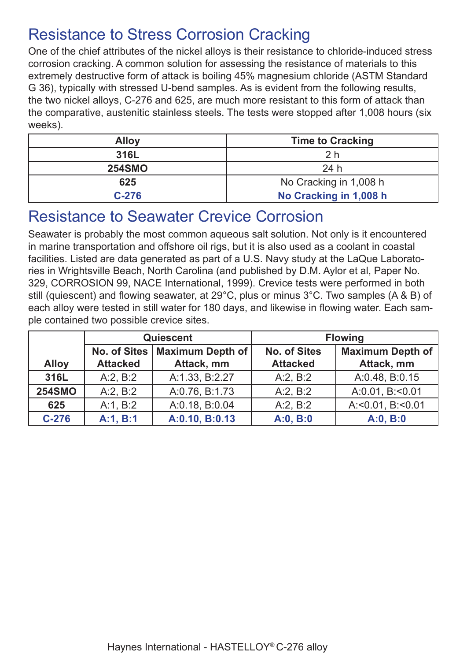#### Resistance to Stress Corrosion Cracking

One of the chief attributes of the nickel alloys is their resistance to chloride-induced stress corrosion cracking. A common solution for assessing the resistance of materials to this extremely destructive form of attack is boiling 45% magnesium chloride (ASTM Standard G 36), typically with stressed U-bend samples. As is evident from the following results, the two nickel alloys, C-276 and 625, are much more resistant to this form of attack than the comparative, austenitic stainless steels. The tests were stopped after 1,008 hours (six weeks).

| <b>Alloy</b>  | <b>Time to Cracking</b> |
|---------------|-------------------------|
| 316L          | 2 h                     |
| <b>254SMO</b> | 24h                     |
| 625           | No Cracking in 1,008 h  |
| $C-276$       | No Cracking in 1,008 h  |

#### Resistance to Seawater Crevice Corrosion

Seawater is probably the most common aqueous salt solution. Not only is it encountered in marine transportation and offshore oil rigs, but it is also used as a coolant in coastal facilities. Listed are data generated as part of a U.S. Navy study at the LaQue Laboratories in Wrightsville Beach, North Carolina (and published by D.M. Aylor et al, Paper No. 329, CORROSION 99, NACE International, 1999). Crevice tests were performed in both still (quiescent) and flowing seawater, at 29°C, plus or minus 3°C. Two samples (A & B) of each alloy were tested in still water for 180 days, and likewise in flowing water. Each sample contained two possible crevice sites.

|               |                     | Quiescent               | <b>Flowing</b>      |                           |  |  |
|---------------|---------------------|-------------------------|---------------------|---------------------------|--|--|
|               | <b>No. of Sites</b> | <b>Maximum Depth of</b> | <b>No. of Sites</b> | <b>Maximum Depth of</b>   |  |  |
| <b>Alloy</b>  | <b>Attacked</b>     | Attack, mm              | <b>Attacked</b>     | Attack, mm                |  |  |
| 316L          | A:2, B:2            | A:1.33, B:2.27          | A:2, B:2            | A:0.48, B:0.15            |  |  |
| <b>254SMO</b> | A:2, B:2            | A:0.76, B:1.73          | A:2, B:2            | A:0.01, B:<0.01           |  |  |
| 625           | A:1, B:2            | A:0.18, B:0.04          | A:2, B:2            | A: < $0.01$ , B: < $0.01$ |  |  |
| $C-276$       | A:1, B:1            | A:0.10, B:0.13          | A:0, B:0            | A:0, B:0                  |  |  |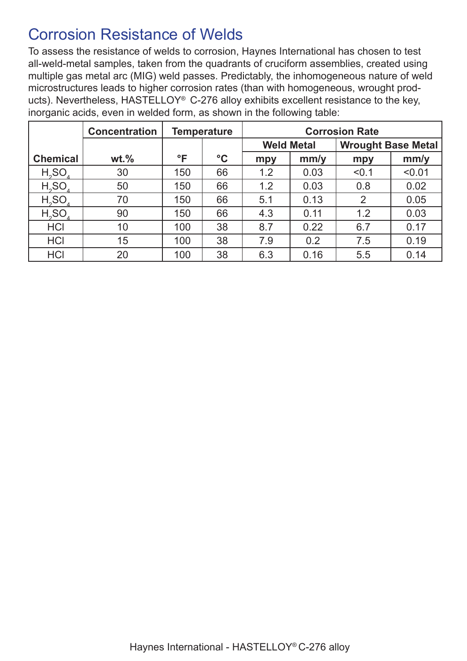#### Corrosion Resistance of Welds

To assess the resistance of welds to corrosion, Haynes International has chosen to test all-weld-metal samples, taken from the quadrants of cruciform assemblies, created using multiple gas metal arc (MIG) weld passes. Predictably, the inhomogeneous nature of weld microstructures leads to higher corrosion rates (than with homogeneous, wrought products). Nevertheless, HASTELLOY® C-276 alloy exhibits excellent resistance to the key, inorganic acids, even in welded form, as shown in the following table:

|                 | <b>Concentration</b> |              | <b>Temperature</b> |     |                   | <b>Corrosion Rate</b>     |        |  |
|-----------------|----------------------|--------------|--------------------|-----|-------------------|---------------------------|--------|--|
|                 |                      |              |                    |     | <b>Weld Metal</b> | <b>Wrought Base Metal</b> |        |  |
| <b>Chemical</b> | $wt.$ %              | $\mathsf{P}$ | $\rm ^{\circ}C$    | mpy | mm/y              | mpy                       | mm/y   |  |
| $H_2SO_4$       | 30                   | 150          | 66                 | 1.2 | 0.03              | < 0.1                     | < 0.01 |  |
| $H_2SO_4$       | 50                   | 150          | 66                 | 1.2 | 0.03              | 0.8                       | 0.02   |  |
| $H_2SO_4$       | 70                   | 150          | 66                 | 5.1 | 0.13              | $\overline{2}$            | 0.05   |  |
| $H_2SO_4$       | 90                   | 150          | 66                 | 4.3 | 0.11              | 1.2                       | 0.03   |  |
| <b>HCI</b>      | 10                   | 100          | 38                 | 8.7 | 0.22              | 6.7                       | 0.17   |  |
| <b>HCI</b>      | 15                   | 100          | 38                 | 7.9 | 0.2               | 7.5                       | 0.19   |  |
| <b>HCI</b>      | 20                   | 100          | 38                 | 6.3 | 0.16              | 5.5                       | 0.14   |  |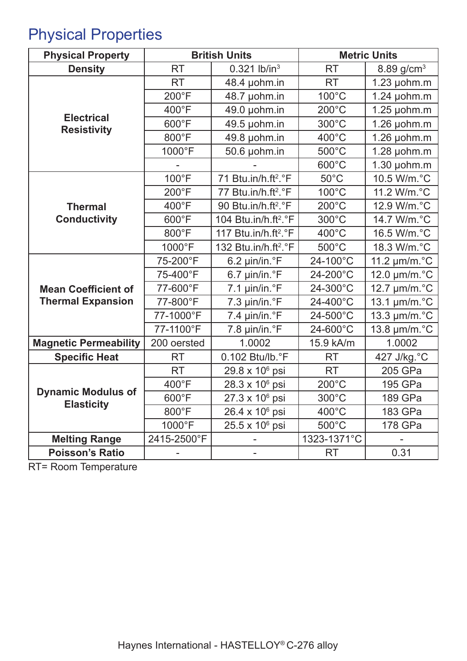# Physical Properties

| <b>Physical Property</b>                       |                 | <b>British Units</b>             | <b>Metric Units</b> |                             |  |
|------------------------------------------------|-----------------|----------------------------------|---------------------|-----------------------------|--|
| <b>Density</b>                                 | <b>RT</b>       | $0.321$ lb/in <sup>3</sup>       | <b>RT</b>           | 8.89 $g/cm3$                |  |
|                                                | <b>RT</b>       | 48.4 µohm.in                     | <b>RT</b>           | $1.23$ µohm.m               |  |
|                                                | 200°F           | 48.7 µohm.in                     | $100^{\circ}$ C     | $1.24$ µohm.m               |  |
|                                                | 400°F           | 49.0 µohm.in                     | $200^{\circ}$ C     | $1.25$ µohm.m               |  |
| <b>Electrical</b><br><b>Resistivity</b>        | 600°F           | 49.5 µohm.in                     | 300°C               | $1.26$ µohm.m               |  |
|                                                | 800°F           | 49.8 µohm.in                     | 400°C               | $1.26$ µohm.m               |  |
|                                                | 1000°F          | 50.6 µohm.in                     | 500°C               | $1.28$ µohm.m               |  |
|                                                |                 |                                  | 600°C               | $1.30 \mu$ ohm.m            |  |
|                                                | 100°F           | 71 Btu.in/h.ft <sup>2</sup> .°F  | $50^{\circ}$ C      | 10.5 W/m.°C                 |  |
|                                                | 200°F           | 77 Btu.in/h.ft <sup>2</sup> .°F  | 100°C               | 11.2 W/m.°C                 |  |
| <b>Thermal</b>                                 | 400°F           | 90 Btu.in/h.ft <sup>2</sup> .°F  | $200^{\circ}$ C     | 12.9 W/m.°C                 |  |
| <b>Conductivity</b>                            | 600°F           | 104 Btu.in/h.ft <sup>2</sup> .°F | 300°C               | 14.7 W/m.°C                 |  |
|                                                | 800°F           | 117 Btu.in/h.ft <sup>2</sup> .°F | 400°C               | 16.5 W/m.°C                 |  |
|                                                | 1000°F          | 132 Btu.in/h.ft <sup>2</sup> .°F | $500^{\circ}$ C     | 18.3 W/m.°C                 |  |
|                                                | 75-200°F        | $6.2 \mu$ in/in. $\degree$ F     | 24-100°C            | 11.2 $\mu$ m/m. $\degree$ C |  |
|                                                | 75-400°F        | $6.7 \mu$ in/in. $\degree$ F     | 24-200°C            | 12.0 µm/m.°C                |  |
| <b>Mean Coefficient of</b>                     | 77-600°F        | 7.1 $\mu$ in/in. $\degree$ F     | 24-300°C            | 12.7 µm/m.°C                |  |
| <b>Thermal Expansion</b>                       | 77-800°F        | $7.3 \mu$ in/in. $\degree$ F     | 24-400°C            | 13.1 µm/m.°C                |  |
|                                                | 77-1000°F       | 7.4 µin/in.°F                    | 24-500°C            | 13.3 µm/m.°C                |  |
|                                                | 77-1100°F       | 7.8 µin/in.°F                    | 24-600°C            | 13.8 µm/m.°C                |  |
| <b>Magnetic Permeability</b>                   | 200 oersted     | 1.0002                           | 15.9 kA/m           | 1.0002                      |  |
| <b>Specific Heat</b>                           | <b>RT</b>       | 0.102 Btu/lb.°F                  | <b>RT</b>           | 427 J/kg.°C                 |  |
|                                                | <b>RT</b>       | 29.8 x 10 <sup>6</sup> psi       | <b>RT</b>           | 205 GPa                     |  |
|                                                | 400°F           | 28.3 x 10 <sup>6</sup> psi       | $200^{\circ}$ C     | 195 GPa                     |  |
| <b>Dynamic Modulus of</b><br><b>Elasticity</b> | 600°F           | 27.3 x 10 <sup>6</sup> psi       | $300^{\circ}$ C     | 189 GPa                     |  |
|                                                | $800^{\circ}$ F | 26.4 x 10 <sup>6</sup> psi       | $400^{\circ}$ C     | 183 GPa                     |  |
|                                                | 1000°F          | $25.5 \times 10^6$ psi           | $500^{\circ}$ C     | 178 GPa                     |  |
| <b>Melting Range</b>                           | 2415-2500°F     | Ξ.                               | 1323-1371°C         |                             |  |
| <b>Poisson's Ratio</b>                         |                 |                                  | <b>RT</b>           | 0.31                        |  |

RT= Room Temperature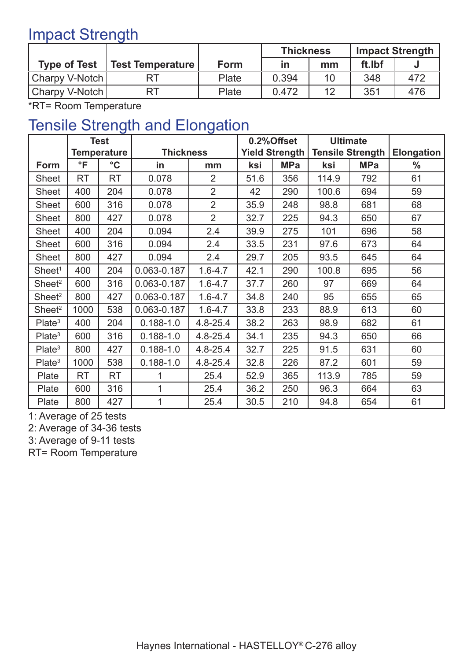### Impact Strength

|                     |                         |       | <b>Thickness</b> |    | <b>Impact Strength</b> |     |
|---------------------|-------------------------|-------|------------------|----|------------------------|-----|
| <b>Type of Test</b> | <b>Test Temperature</b> | Form  | in               | mm | ft.Ibf                 |     |
| Charpy V-Notch      |                         | Plate | 0.394            | 10 | 348                    | 472 |
| Charpy V-Notch      | RT                      | Plate | 0.472            | 12 | 351                    | 476 |

\*RT= Room Temperature

#### Tensile Strength and Elongation

|                    | <b>Test</b>        |                 |                  |                | 0.2%Offset            |            | <b>Ultimate</b>         |            |                   |
|--------------------|--------------------|-----------------|------------------|----------------|-----------------------|------------|-------------------------|------------|-------------------|
|                    | <b>Temperature</b> |                 | <b>Thickness</b> |                | <b>Yield Strength</b> |            | <b>Tensile Strength</b> |            | <b>Elongation</b> |
| Form               | $\overline{\ }$    | $\rm ^{\circ}C$ | in               | mm             | ksi                   | <b>MPa</b> | ksi                     | <b>MPa</b> | $\frac{0}{0}$     |
| <b>Sheet</b>       | <b>RT</b>          | <b>RT</b>       | 0.078            | $\overline{2}$ | 51.6                  | 356        | 114.9                   | 792        | 61                |
| <b>Sheet</b>       | 400                | 204             | 0.078            | $\overline{2}$ | 42                    | 290        | 100.6                   | 694        | 59                |
| <b>Sheet</b>       | 600                | 316             | 0.078            | $\overline{2}$ | 35.9                  | 248        | 98.8                    | 681        | 68                |
| <b>Sheet</b>       | 800                | 427             | 0.078            | $\overline{2}$ | 32.7                  | 225        | 94.3                    | 650        | 67                |
| <b>Sheet</b>       | 400                | 204             | 0.094            | 2.4            | 39.9                  | 275        | 101                     | 696        | 58                |
| <b>Sheet</b>       | 600                | 316             | 0.094            | 2.4            | 33.5                  | 231        | 97.6                    | 673        | 64                |
| <b>Sheet</b>       | 800                | 427             | 0.094            | 2.4            | 29.7                  | 205        | 93.5                    | 645        | 64                |
| Sheet <sup>1</sup> | 400                | 204             | 0.063-0.187      | $1.6 - 4.7$    | 42.1                  | 290        | 100.8                   | 695        | 56                |
| Sheet <sup>2</sup> | 600                | 316             | 0.063-0.187      | $1.6 - 4.7$    | 37.7                  | 260        | 97                      | 669        | 64                |
| Sheet <sup>2</sup> | 800                | 427             | 0.063-0.187      | $1.6 - 4.7$    | 34.8                  | 240        | 95                      | 655        | 65                |
| Sheet <sup>2</sup> | 1000               | 538             | 0.063-0.187      | $1.6 - 4.7$    | 33.8                  | 233        | 88.9                    | 613        | 60                |
| Plate <sup>3</sup> | 400                | 204             | $0.188 - 1.0$    | $4.8 - 25.4$   | 38.2                  | 263        | 98.9                    | 682        | 61                |
| Plate <sup>3</sup> | 600                | 316             | $0.188 - 1.0$    | $4.8 - 25.4$   | 34.1                  | 235        | 94.3                    | 650        | 66                |
| Plate <sup>3</sup> | 800                | 427             | $0.188 - 1.0$    | $4.8 - 25.4$   | 32.7                  | 225        | 91.5                    | 631        | 60                |
| Plate <sup>3</sup> | 1000               | 538             | $0.188 - 1.0$    | $4.8 - 25.4$   | 32.8                  | 226        | 87.2                    | 601        | 59                |
| Plate              | <b>RT</b>          | <b>RT</b>       | 1                | 25.4           | 52.9                  | 365        | 113.9                   | 785        | 59                |
| Plate              | 600                | 316             | 1                | 25.4           | 36.2                  | 250        | 96.3                    | 664        | 63                |
| Plate              | 800                | 427             | 1                | 25.4           | 30.5                  | 210        | 94.8                    | 654        | 61                |

1: Average of 25 tests

2: Average of 34-36 tests

3: Average of 9-11 tests

RT= Room Temperature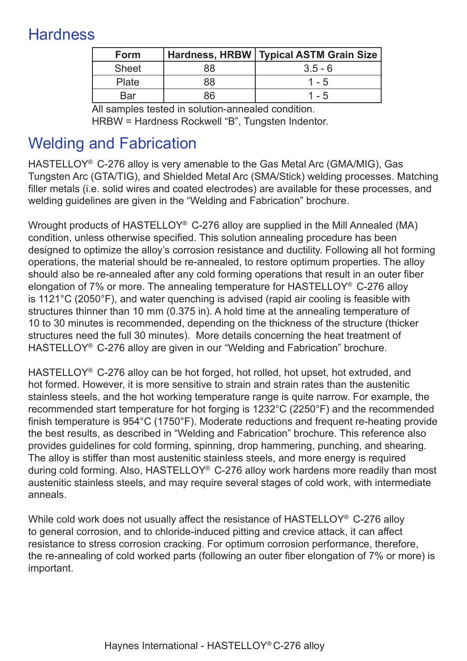### **Hardness**

| <b>Form</b>  |    | Hardness, HRBW   Typical ASTM Grain Size |
|--------------|----|------------------------------------------|
| <b>Sheet</b> | 88 | $3.5 - 6$                                |
| Plate        | 88 | $1 - 5$                                  |
| Bar          | 86 | $1 - 5$                                  |

All samples tested in solution-annealed condition. HRBW = Hardness Rockwell "B", Tungsten Indentor.

### Welding and Fabrication

HASTELLOY® C-276 alloy is very amenable to the Gas Metal Arc (GMA/MIG), Gas Tungsten Arc (GTA/TIG), and Shielded Metal Arc (SMA/Stick) welding processes. Matching filler metals (i.e. solid wires and coated electrodes) are available for these processes, and welding guidelines are given in the "Welding and Fabrication" brochure.

Wrought products of HASTELLOY® C-276 alloy are supplied in the Mill Annealed (MA) condition, unless otherwise specified. This solution annealing procedure has been designed to optimize the alloy's corrosion resistance and ductility. Following all hot forming operations, the material should be re-annealed, to restore optimum properties. The alloy should also be re-annealed after any cold forming operations that result in an outer fiber elongation of 7% or more. The annealing temperature for HASTELLOY® C-276 alloy is 1121°C (2050°F), and water quenching is advised (rapid air cooling is feasible with structures thinner than 10 mm (0.375 in). A hold time at the annealing temperature of 10 to 30 minutes is recommended, depending on the thickness of the structure (thicker structures need the full 30 minutes). More details concerning the heat treatment of HASTELLOY® C-276 alloy are given in our "Welding and Fabrication" brochure.

HASTELLOY® C-276 alloy can be hot forged, hot rolled, hot upset, hot extruded, and hot formed. However, it is more sensitive to strain and strain rates than the austenitic stainless steels, and the hot working temperature range is quite narrow. For example, the recommended start temperature for hot forging is 1232°C (2250°F) and the recommended finish temperature is 954°C (1750°F). Moderate reductions and frequent re-heating provide the best results, as described in "Welding and Fabrication" brochure. This reference also provides guidelines for cold forming, spinning, drop hammering, punching, and shearing. The alloy is stiffer than most austenitic stainless steels, and more energy is required during cold forming. Also, HASTELLOY® C-276 alloy work hardens more readily than most austenitic stainless steels, and may require several stages of cold work, with intermediate anneals.

While cold work does not usually affect the resistance of HASTELLOY<sup>®</sup> C-276 alloy to general corrosion, and to chloride-induced pitting and crevice attack, it can affect resistance to stress corrosion cracking. For optimum corrosion performance, therefore, the re-annealing of cold worked parts (following an outer fiber elongation of 7% or more) is important.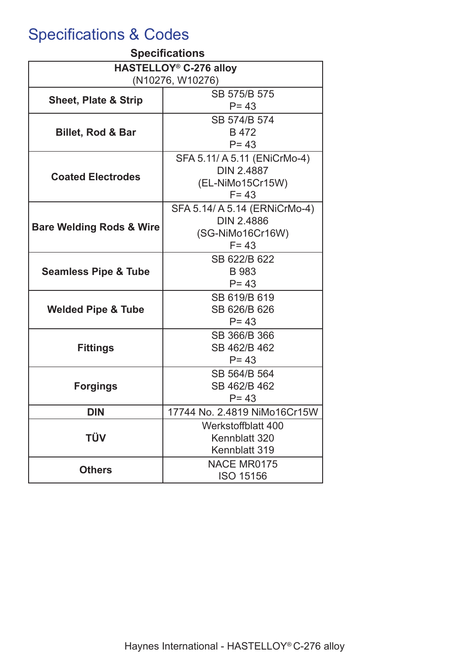## Specifications & Codes

| <b>Specifications</b>               |                                                    |  |  |  |  |
|-------------------------------------|----------------------------------------------------|--|--|--|--|
| HASTELLOY <sup>®</sup> C-276 alloy  |                                                    |  |  |  |  |
| (N10276, W10276)                    |                                                    |  |  |  |  |
| <b>Sheet, Plate &amp; Strip</b>     | SB 575/B 575                                       |  |  |  |  |
|                                     | $P = 43$                                           |  |  |  |  |
|                                     | SB 574/B 574                                       |  |  |  |  |
| <b>Billet, Rod &amp; Bar</b>        | B 472<br>$P = 43$                                  |  |  |  |  |
|                                     |                                                    |  |  |  |  |
|                                     | SFA 5.11/ A 5.11 (ENiCrMo-4)                       |  |  |  |  |
| <b>Coated Electrodes</b>            | <b>DIN 2.4887</b>                                  |  |  |  |  |
|                                     | (EL-NiMo15Cr15W)<br>$F = 43$                       |  |  |  |  |
|                                     |                                                    |  |  |  |  |
|                                     | SFA 5.14/ A 5.14 (ERNiCrMo-4)<br><b>DIN 2.4886</b> |  |  |  |  |
| <b>Bare Welding Rods &amp; Wire</b> |                                                    |  |  |  |  |
|                                     | (SG-NiMo16Cr16W)<br>$F = 43$                       |  |  |  |  |
|                                     | SB 622/B 622                                       |  |  |  |  |
|                                     | B 983                                              |  |  |  |  |
| <b>Seamless Pipe &amp; Tube</b>     | $P = 43$                                           |  |  |  |  |
|                                     | SB 619/B 619                                       |  |  |  |  |
| <b>Welded Pipe &amp; Tube</b>       | SB 626/B 626                                       |  |  |  |  |
|                                     | $P = 43$                                           |  |  |  |  |
|                                     | SB 366/B 366                                       |  |  |  |  |
| <b>Fittings</b>                     | SB 462/B 462                                       |  |  |  |  |
|                                     | $P = 43$                                           |  |  |  |  |
|                                     | SB 564/B 564                                       |  |  |  |  |
| <b>Forgings</b>                     | SB 462/B 462                                       |  |  |  |  |
|                                     | $P = 43$                                           |  |  |  |  |
| <b>DIN</b>                          | 17744 No. 2.4819 NiMo16Cr15W                       |  |  |  |  |
|                                     | Werkstoffblatt 400                                 |  |  |  |  |
| <b>TÜV</b>                          | Kennblatt 320                                      |  |  |  |  |
|                                     | Kennblatt 319                                      |  |  |  |  |
|                                     | NACE MR0175                                        |  |  |  |  |
| <b>Others</b>                       | <b>ISO 15156</b>                                   |  |  |  |  |